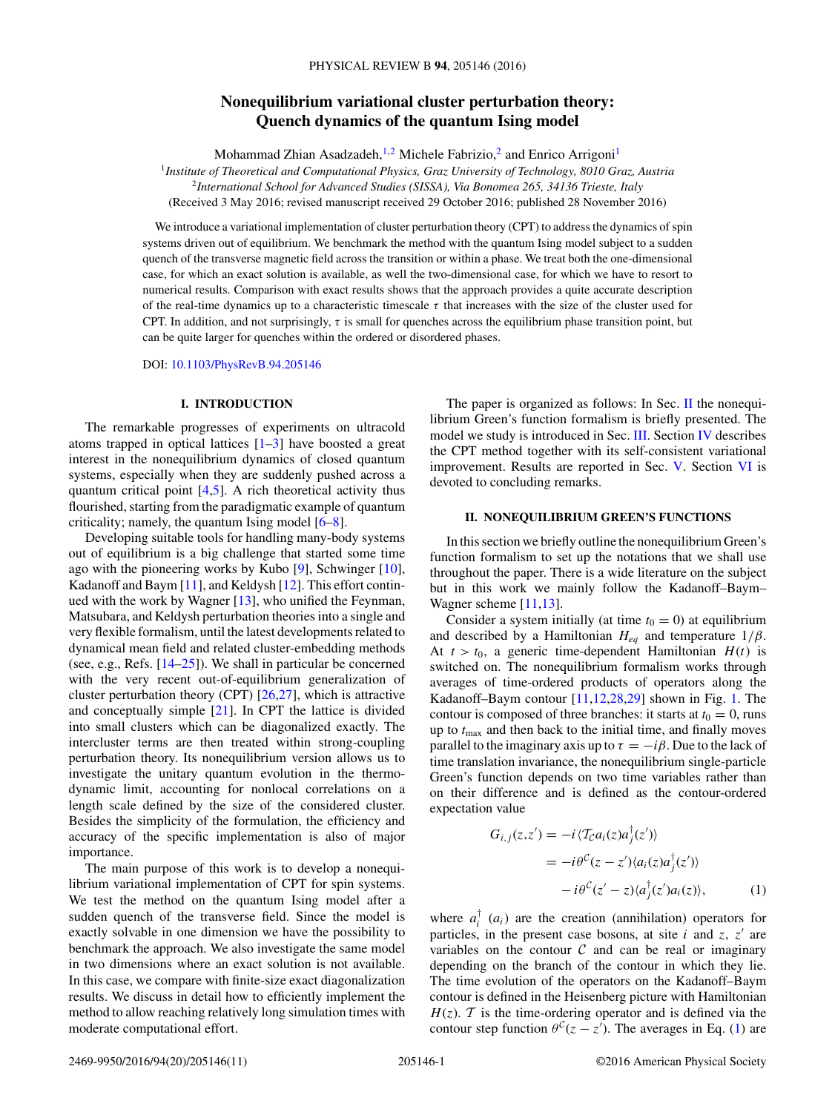# **Nonequilibrium variational cluster perturbation theory: Quench dynamics of the quantum Ising model**

Mohammad Zhian Asadzadeh,<sup>1,2</sup> Michele Fabrizio,<sup>2</sup> and Enrico Arrigoni<sup>1</sup>

<sup>1</sup>*Institute of Theoretical and Computational Physics, Graz University of Technology, 8010 Graz, Austria* <sup>2</sup>*International School for Advanced Studies (SISSA), Via Bonomea 265, 34136 Trieste, Italy*

(Received 3 May 2016; revised manuscript received 29 October 2016; published 28 November 2016)

We introduce a variational implementation of cluster perturbation theory (CPT) to address the dynamics of spin systems driven out of equilibrium. We benchmark the method with the quantum Ising model subject to a sudden quench of the transverse magnetic field across the transition or within a phase. We treat both the one-dimensional case, for which an exact solution is available, as well the two-dimensional case, for which we have to resort to numerical results. Comparison with exact results shows that the approach provides a quite accurate description of the real-time dynamics up to a characteristic timescale *τ* that increases with the size of the cluster used for CPT. In addition, and not surprisingly, *τ* is small for quenches across the equilibrium phase transition point, but can be quite larger for quenches within the ordered or disordered phases.

DOI: [10.1103/PhysRevB.94.205146](https://doi.org/10.1103/PhysRevB.94.205146)

### **I. INTRODUCTION**

The remarkable progresses of experiments on ultracold atoms trapped in optical lattices  $[1-3]$  have boosted a great interest in the nonequilibrium dynamics of closed quantum systems, especially when they are suddenly pushed across a quantum critical point  $[4,5]$ . A rich theoretical activity thus flourished, starting from the paradigmatic example of quantum criticality; namely, the quantum Ising model  $[6-8]$ .

Developing suitable tools for handling many-body systems out of equilibrium is a big challenge that started some time ago with the pioneering works by Kubo [\[9\]](#page-10-0), Schwinger [\[10\]](#page-10-0), Kadanoff and Baym [\[11\]](#page-10-0), and Keldysh [\[12\]](#page-10-0). This effort continued with the work by Wagner [\[13\]](#page-10-0), who unified the Feynman, Matsubara, and Keldysh perturbation theories into a single and very flexible formalism, until the latest developments related to dynamical mean field and related cluster-embedding methods (see, e.g., Refs. [\[14–25\]](#page-10-0)). We shall in particular be concerned with the very recent out-of-equilibrium generalization of cluster perturbation theory (CPT) [\[26,27\]](#page-10-0), which is attractive and conceptually simple [\[21\]](#page-10-0). In CPT the lattice is divided into small clusters which can be diagonalized exactly. The intercluster terms are then treated within strong-coupling perturbation theory. Its nonequilibrium version allows us to investigate the unitary quantum evolution in the thermodynamic limit, accounting for nonlocal correlations on a length scale defined by the size of the considered cluster. Besides the simplicity of the formulation, the efficiency and accuracy of the specific implementation is also of major importance.

The main purpose of this work is to develop a nonequilibrium variational implementation of CPT for spin systems. We test the method on the quantum Ising model after a sudden quench of the transverse field. Since the model is exactly solvable in one dimension we have the possibility to benchmark the approach. We also investigate the same model in two dimensions where an exact solution is not available. In this case, we compare with finite-size exact diagonalization results. We discuss in detail how to efficiently implement the method to allow reaching relatively long simulation times with moderate computational effort.

The paper is organized as follows: In Sec. II the nonequilibrium Green's function formalism is briefly presented. The model we study is introduced in Sec. [III.](#page-1-0) Section [IV](#page-1-0) describes the CPT method together with its self-consistent variational improvement. Results are reported in Sec. [V.](#page-4-0) Section [VI](#page-6-0) is devoted to concluding remarks.

### **II. NONEQUILIBRIUM GREEN'S FUNCTIONS**

In this section we briefly outline the nonequilibrium Green's function formalism to set up the notations that we shall use throughout the paper. There is a wide literature on the subject but in this work we mainly follow the Kadanoff–Baym– Wagner scheme [\[11,13\]](#page-10-0).

Consider a system initially (at time  $t_0 = 0$ ) at equilibrium and described by a Hamiltonian  $H_{eq}$  and temperature  $1/\beta$ . At  $t > t_0$ , a generic time-dependent Hamiltonian  $H(t)$  is switched on. The nonequilibrium formalism works through averages of time-ordered products of operators along the Kadanoff–Baym contour [\[11,12,28,29\]](#page-10-0) shown in Fig. [1.](#page-1-0) The contour is composed of three branches: it starts at  $t_0 = 0$ , runs up to  $t_{\text{max}}$  and then back to the initial time, and finally moves parallel to the imaginary axis up to  $\tau = -i\beta$ . Due to the lack of time translation invariance, the nonequilibrium single-particle Green's function depends on two time variables rather than on their difference and is defined as the contour-ordered expectation value

$$
G_{i,j}(z,z') = -i \langle \mathcal{T}_{\mathcal{C}} a_i(z) a_j^{\dagger}(z') \rangle
$$
  
=  $-i\theta^{\mathcal{C}}(z-z') \langle a_i(z) a_j^{\dagger}(z') \rangle$   
 $-i\theta^{\mathcal{C}}(z'-z) \langle a_j^{\dagger}(z') a_i(z) \rangle,$  (1)

where  $a_i^{\dagger}$  ( $a_i$ ) are the creation (annihilation) operators for particles, in the present case bosons, at site  $i$  and  $z$ ,  $z'$  are variables on the contour  $C$  and can be real or imaginary depending on the branch of the contour in which they lie. The time evolution of the operators on the Kadanoff–Baym contour is defined in the Heisenberg picture with Hamiltonian  $H(z)$ . T is the time-ordering operator and is defined via the contour step function  $\theta^{\mathcal{C}}(z - z')$ . The averages in Eq. (1) are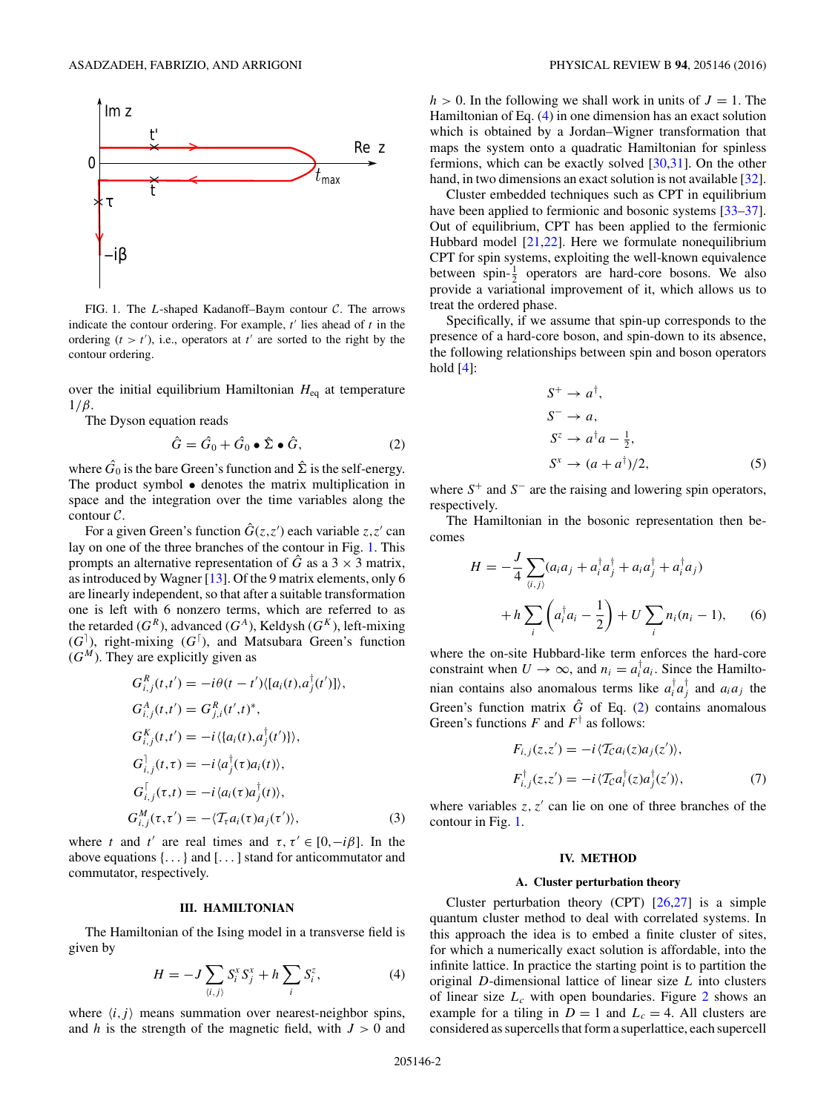<span id="page-1-0"></span>

FIG. 1. The *L*-shaped Kadanoff–Baym contour C. The arrows indicate the contour ordering. For example,  $t'$  lies ahead of  $t$  in the ordering  $(t > t')$ , i.e., operators at  $t'$  are sorted to the right by the contour ordering.

over the initial equilibrium Hamiltonian *H*eq at temperature 1*/β*.

The Dyson equation reads

$$
\hat{G} = \hat{G}_0 + \hat{G}_0 \bullet \hat{\Sigma} \bullet \hat{G}, \qquad (2)
$$

where  $\hat{G}_0$  is the bare Green's function and  $\hat{\Sigma}$  is the self-energy. The product symbol • denotes the matrix multiplication in space and the integration over the time variables along the contour C.

For a given Green's function  $\hat{G}(z, z')$  each variable  $z, z'$  can lay on one of the three branches of the contour in Fig. 1. This prompts an alternative representation of  $\hat{G}$  as a 3  $\times$  3 matrix, as introduced by Wagner [\[13\]](#page-10-0). Of the 9 matrix elements, only 6 are linearly independent, so that after a suitable transformation one is left with 6 nonzero terms, which are referred to as the retarded  $(G^R)$ , advanced  $(G^A)$ , Keldysh  $(G^K)$ , left-mixing (*G* ), right-mixing (*G* ), and Matsubara Green's function  $(G<sup>M</sup>)$ . They are explicitly given as

$$
G_{i,j}^{R}(t,t') = -i\theta(t - t')\langle [a_i(t), a_j^{\dagger}(t')] \rangle,
$$
  
\n
$$
G_{i,j}^{A}(t,t') = G_{j,i}^{R}(t',t)^{*},
$$
  
\n
$$
G_{i,j}^{K}(t,t') = -i\langle \{a_i(t), a_j^{\dagger}(t') \} \rangle,
$$
  
\n
$$
G_{i,j}^{\dagger}(t,\tau) = -i\langle a_j^{\dagger}(\tau)a_i(t) \rangle,
$$
  
\n
$$
G_{i,j}^{K}(\tau,t) = -i\langle a_i(\tau)a_j^{\dagger}(t) \rangle,
$$
  
\n
$$
G_{i,j}^{M}(\tau,\tau') = -\langle \mathcal{T}_{\tau}a_i(\tau)a_j(\tau') \rangle,
$$
\n(3)

where *t* and *t'* are real times and  $\tau, \tau' \in [0, -i\beta]$ . In the above equations {*...*} and [*...* ] stand for anticommutator and commutator, respectively.

#### **III. HAMILTONIAN**

The Hamiltonian of the Ising model in a transverse field is given by

$$
H = -J\sum_{\langle i,j\rangle} S_i^x S_j^x + h\sum_i S_i^z,\tag{4}
$$

where  $\langle i, j \rangle$  means summation over nearest-neighbor spins, and *h* is the strength of the magnetic field, with *J >* 0 and  $h > 0$ . In the following we shall work in units of  $J = 1$ . The Hamiltonian of Eq. (4) in one dimension has an exact solution which is obtained by a Jordan–Wigner transformation that maps the system onto a quadratic Hamiltonian for spinless fermions, which can be exactly solved [\[30,31\]](#page-10-0). On the other hand, in two dimensions an exact solution is not available [\[32\]](#page-10-0).

Cluster embedded techniques such as CPT in equilibrium have been applied to fermionic and bosonic systems [\[33–37\]](#page-10-0). Out of equilibrium, CPT has been applied to the fermionic Hubbard model [\[21,22\]](#page-10-0). Here we formulate nonequilibrium CPT for spin systems, exploiting the well-known equivalence between spin- $\frac{1}{2}$  operators are hard-core bosons. We also provide a variational improvement of it, which allows us to treat the ordered phase.

Specifically, if we assume that spin-up corresponds to the presence of a hard-core boson, and spin-down to its absence, the following relationships between spin and boson operators hold  $[4]$ :

$$
S^{+} \rightarrow a^{\dagger},
$$
  
\n
$$
S^{-} \rightarrow a,
$$
  
\n
$$
S^{z} \rightarrow a^{\dagger}a - \frac{1}{2},
$$
  
\n
$$
S^{x} \rightarrow (a + a^{\dagger})/2,
$$
\n(5)

where *S*<sup>+</sup> and *S*<sup>−</sup> are the raising and lowering spin operators, respectively.

The Hamiltonian in the bosonic representation then becomes

$$
H = -\frac{J}{4} \sum_{\langle i,j \rangle} (a_i a_j + a_i^{\dagger} a_j^{\dagger} + a_i a_j^{\dagger} + a_i^{\dagger} a_j)
$$
  
+ 
$$
h \sum_i \left( a_i^{\dagger} a_i - \frac{1}{2} \right) + U \sum_i n_i (n_i - 1), \qquad (6)
$$

where the on-site Hubbard-like term enforces the hard-core constraint when  $U \to \infty$ , and  $n_i = a_i^{\dagger} a_i$ . Since the Hamiltonian contains also anomalous terms like  $a_i^{\dagger} a_j^{\dagger}$  and  $a_i a_j$  the Green's function matrix  $\hat{G}$  of Eq. (2) contains anomalous Green's functions  $F$  and  $F^{\dagger}$  as follows:

$$
F_{i,j}(z,z') = -i \langle T_{\mathcal{C}} a_i(z) a_j(z') \rangle,
$$
  
\n
$$
F_{i,j}^{\dagger}(z,z') = -i \langle T_{\mathcal{C}} a_i^{\dagger}(z) a_j^{\dagger}(z') \rangle,
$$
\n(7)

where variables  $z, z'$  can lie on one of three branches of the contour in Fig. 1.

### **IV. METHOD**

#### **A. Cluster perturbation theory**

Cluster perturbation theory (CPT) [\[26,27\]](#page-10-0) is a simple quantum cluster method to deal with correlated systems. In this approach the idea is to embed a finite cluster of sites, for which a numerically exact solution is affordable, into the infinite lattice. In practice the starting point is to partition the original *D*-dimensional lattice of linear size *L* into clusters of linear size  $L_c$  with open boundaries. Figure [2](#page-2-0) shows an example for a tiling in  $D = 1$  and  $L_c = 4$ . All clusters are considered as supercells that form a superlattice, each supercell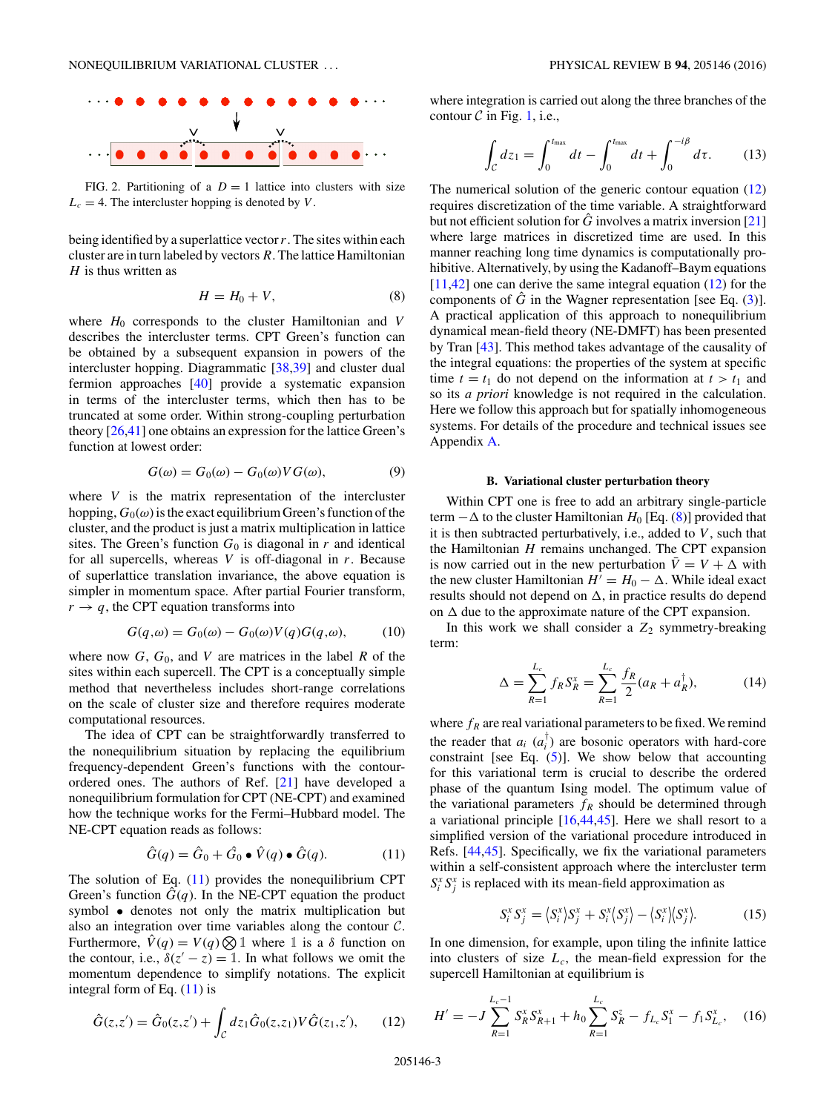<span id="page-2-0"></span>

FIG. 2. Partitioning of a  $D = 1$  lattice into clusters with size  $L_c = 4$ . The intercluster hopping is denoted by *V*.

being identified by a superlattice vector*r*. The sites within each cluster are in turn labeled by vectors *R*. The lattice Hamiltonian *H* is thus written as

$$
H = H_0 + V,\t\t(8)
$$

where  $H_0$  corresponds to the cluster Hamiltonian and *V* describes the intercluster terms. CPT Green's function can be obtained by a subsequent expansion in powers of the intercluster hopping. Diagrammatic [\[38,39\]](#page-10-0) and cluster dual fermion approaches [\[40\]](#page-10-0) provide a systematic expansion in terms of the intercluster terms, which then has to be truncated at some order. Within strong-coupling perturbation theory [\[26,41\]](#page-10-0) one obtains an expression for the lattice Green's function at lowest order:

$$
G(\omega) = G_0(\omega) - G_0(\omega)VG(\omega),\tag{9}
$$

where *V* is the matrix representation of the intercluster hopping,  $G_0(\omega)$  is the exact equilibrium Green's function of the cluster, and the product is just a matrix multiplication in lattice sites. The Green's function  $G_0$  is diagonal in  $r$  and identical for all supercells, whereas *V* is off-diagonal in *r*. Because of superlattice translation invariance, the above equation is simpler in momentum space. After partial Fourier transform,  $r \rightarrow q$ , the CPT equation transforms into

$$
G(q,\omega) = G_0(\omega) - G_0(\omega)V(q)G(q,\omega), \qquad (10)
$$

where now  $G$ ,  $G_0$ , and  $V$  are matrices in the label  $R$  of the sites within each supercell. The CPT is a conceptually simple method that nevertheless includes short-range correlations on the scale of cluster size and therefore requires moderate computational resources.

The idea of CPT can be straightforwardly transferred to the nonequilibrium situation by replacing the equilibrium frequency-dependent Green's functions with the contourordered ones. The authors of Ref. [\[21\]](#page-10-0) have developed a nonequilibrium formulation for CPT (NE-CPT) and examined how the technique works for the Fermi–Hubbard model. The NE-CPT equation reads as follows:

$$
\hat{G}(q) = \hat{G}_0 + \hat{G}_0 \bullet \hat{V}(q) \bullet \hat{G}(q). \tag{11}
$$

The solution of Eq. (11) provides the nonequilibrium CPT Green's function  $\hat{G}(q)$ . In the NE-CPT equation the product symbol • denotes not only the matrix multiplication but also an integration over time variables along the contour  $C$ . Furthermore,  $\hat{V}(q) = V(q) \bigotimes \mathbb{1}$  where  $\mathbb{1}$  is a  $\delta$  function on the contour, i.e.,  $\delta(z'-z) = 1$ . In what follows we omit the momentum dependence to simplify notations. The explicit integral form of Eq.  $(11)$  is

$$
\hat{G}(z, z') = \hat{G}_0(z, z') + \int_{\mathcal{C}} dz_1 \hat{G}_0(z, z_1) V \hat{G}(z_1, z'), \qquad (12)
$$

where integration is carried out along the three branches of the contour  $C$  in Fig. [1,](#page-1-0) i.e.,

$$
\int_{C} dz_1 = \int_0^{t_{\text{max}}} dt - \int_0^{t_{\text{max}}} dt + \int_0^{-i\beta} d\tau.
$$
 (13)

The numerical solution of the generic contour equation (12) requires discretization of the time variable. A straightforward but not efficient solution for  $\hat{G}$  involves a matrix inversion [\[21\]](#page-10-0) where large matrices in discretized time are used. In this manner reaching long time dynamics is computationally prohibitive. Alternatively, by using the Kadanoff–Baym equations [\[11,42\]](#page-10-0) one can derive the same integral equation (12) for the components of  $\hat{G}$  in the Wagner representation [see Eq. [\(3\)](#page-1-0)]. A practical application of this approach to nonequilibrium dynamical mean-field theory (NE-DMFT) has been presented by Tran [\[43\]](#page-10-0). This method takes advantage of the causality of the integral equations: the properties of the system at specific time  $t = t_1$  do not depend on the information at  $t > t_1$  and so its *a priori* knowledge is not required in the calculation. Here we follow this approach but for spatially inhomogeneous systems. For details of the procedure and technical issues see Appendix [A.](#page-7-0)

#### **B. Variational cluster perturbation theory**

Within CPT one is free to add an arbitrary single-particle term  $-\Delta$  to the cluster Hamiltonian *H*<sub>0</sub> [Eq. (8)] provided that it is then subtracted perturbatively, i.e., added to *V* , such that the Hamiltonian *H* remains unchanged. The CPT expansion is now carried out in the new perturbation  $\bar{V} = V + \Delta$  with the new cluster Hamiltonian  $H' = H_0 - \Delta$ . While ideal exact results should not depend on  $\Delta$ , in practice results do depend on  $\Delta$  due to the approximate nature of the CPT expansion.

In this work we shall consider a  $Z_2$  symmetry-breaking term:

$$
\Delta = \sum_{R=1}^{L_c} f_R S_R^x = \sum_{R=1}^{L_c} \frac{f_R}{2} (a_R + a_R^{\dagger}), \tag{14}
$$

where  $f_R$  are real variational parameters to be fixed. We remind the reader that  $a_i$   $(a_i)$  are bosonic operators with hard-core constraint [see Eq.  $(5)$ ]. We show below that accounting for this variational term is crucial to describe the ordered phase of the quantum Ising model. The optimum value of the variational parameters  $f_R$  should be determined through a variational principle [\[16,44,45\]](#page-10-0). Here we shall resort to a simplified version of the variational procedure introduced in Refs. [\[44,45\]](#page-10-0). Specifically, we fix the variational parameters within a self-consistent approach where the intercluster term  $S_i^x S_j^x$  is replaced with its mean-field approximation as

$$
S_i^x S_j^x = \langle S_i^x \rangle S_j^x + S_i^x \langle S_j^x \rangle - \langle S_i^x \rangle \langle S_j^x \rangle. \tag{15}
$$

In one dimension, for example, upon tiling the infinite lattice into clusters of size  $L_c$ , the mean-field expression for the supercell Hamiltonian at equilibrium is

$$
H' = -J \sum_{R=1}^{L_c - 1} S_R^x S_{R+1}^x + h_0 \sum_{R=1}^{L_c} S_R^z - f_{L_c} S_1^x - f_1 S_{L_c}^x, \quad (16)
$$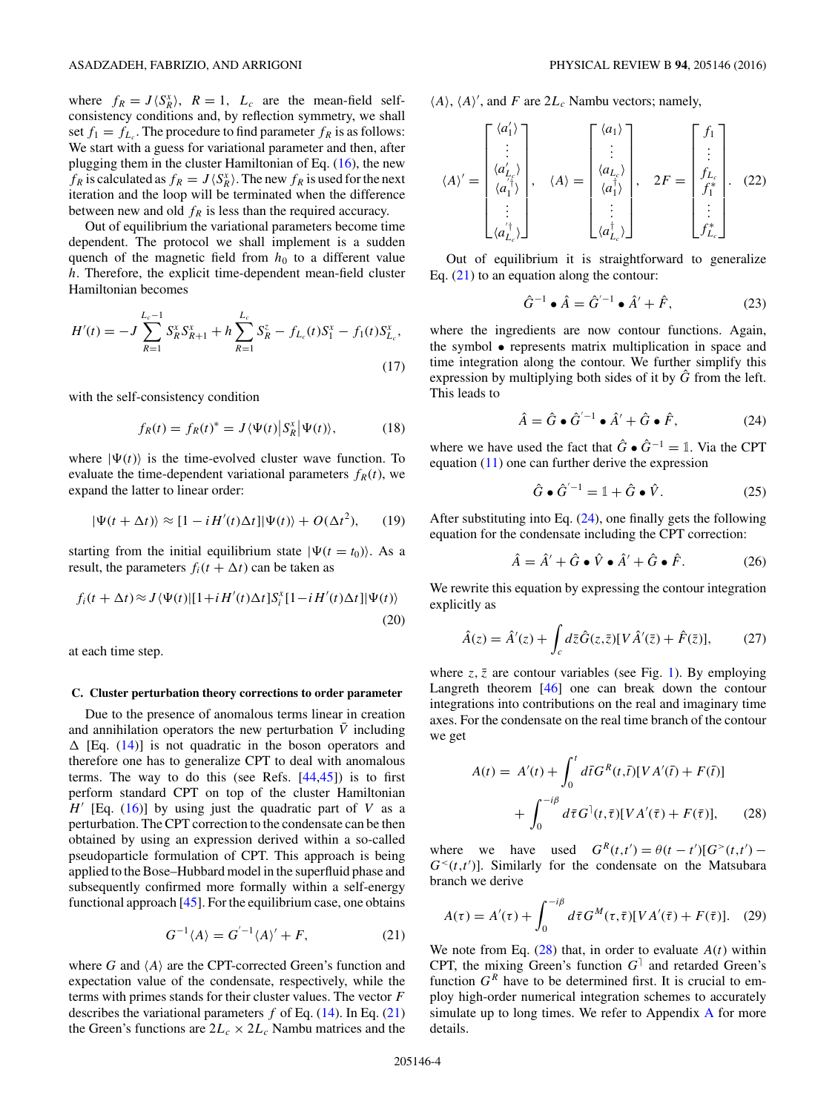<span id="page-3-0"></span>where  $f_R = J \langle S_R^x \rangle$ ,  $R = 1$ ,  $L_c$  are the mean-field selfconsistency conditions and, by reflection symmetry, we shall set  $f_1 = f_{L_c}$ . The procedure to find parameter  $f_R$  is as follows: We start with a guess for variational parameter and then, after plugging them in the cluster Hamiltonian of Eq. [\(16\)](#page-2-0), the new  $f_R$  is calculated as  $f_R = J \langle S_R^x \rangle$ . The new  $f_R$  is used for the next iteration and the loop will be terminated when the difference between new and old  $f_R$  is less than the required accuracy.

Out of equilibrium the variational parameters become time dependent. The protocol we shall implement is a sudden quench of the magnetic field from  $h_0$  to a different value *h*. Therefore, the explicit time-dependent mean-field cluster Hamiltonian becomes

$$
H'(t) = -J \sum_{R=1}^{L_c - 1} S_R^x S_{R+1}^x + h \sum_{R=1}^{L_c} S_R^z - f_{L_c}(t) S_1^x - f_1(t) S_{L_c}^x,
$$
\n(17)

with the self-consistency condition

$$
f_R(t) = f_R(t)^* = J \langle \Psi(t) | S_R^x | \Psi(t) \rangle, \tag{18}
$$

where  $|\Psi(t)\rangle$  is the time-evolved cluster wave function. To evaluate the time-dependent variational parameters  $f_R(t)$ , we expand the latter to linear order:

$$
|\Psi(t + \Delta t)\rangle \approx [1 - iH'(t)\Delta t]|\Psi(t)\rangle + O(\Delta t^2), \qquad (19)
$$

starting from the initial equilibrium state  $|\Psi(t = t_0)\rangle$ . As a result, the parameters  $f_i(t + \Delta t)$  can be taken as

$$
f_i(t + \Delta t) \approx J \langle \Psi(t) | [1 + i H'(t) \Delta t] S_i^x [1 - i H'(t) \Delta t] | \Psi(t) \rangle
$$
\n(20)

at each time step.

### **C. Cluster perturbation theory corrections to order parameter**

Due to the presence of anomalous terms linear in creation and annihilation operators the new perturbation  $\overline{V}$  including  $\Delta$  [Eq. [\(14\)](#page-2-0)] is not quadratic in the boson operators and therefore one has to generalize CPT to deal with anomalous terms. The way to do this (see Refs.  $[44,45]$ ) is to first perform standard CPT on top of the cluster Hamiltonian  $H'$  [Eq. [\(16\)](#page-2-0)] by using just the quadratic part of *V* as a perturbation. The CPT correction to the condensate can be then obtained by using an expression derived within a so-called pseudoparticle formulation of CPT. This approach is being applied to the Bose–Hubbard model in the superfluid phase and subsequently confirmed more formally within a self-energy functional approach  $[45]$ . For the equilibrium case, one obtains

$$
G^{-1}\langle A \rangle = G^{\langle -1} \langle A \rangle' + F,\tag{21}
$$

where  $G$  and  $\langle A \rangle$  are the CPT-corrected Green's function and expectation value of the condensate, respectively, while the terms with primes stands for their cluster values. The vector *F* describes the variational parameters  $f$  of Eq. [\(14\)](#page-2-0). In Eq. (21) the Green's functions are  $2L_c \times 2L_c$  Nambu matrices and the  $\langle A \rangle$ ,  $\langle A \rangle'$ , and *F* are  $2L_c$  Nambu vectors; namely,

$$
\langle A \rangle' = \begin{bmatrix} \langle a'_1 \rangle \\ \vdots \\ \langle a'_{L_{\xi}} \rangle \\ \langle a''_1 \rangle \\ \vdots \\ \langle a'_{L_{c}} \rangle \end{bmatrix}, \quad \langle A \rangle = \begin{bmatrix} \langle a_1 \rangle \\ \vdots \\ \langle a_{L_{c}} \rangle \\ \langle a''_1 \rangle \\ \vdots \\ \langle a^{L_{c}} \rangle \end{bmatrix}, \quad 2F = \begin{bmatrix} f_1 \\ \vdots \\ f_{L_{c}} \\ f_1^* \\ \vdots \\ f_{L_{c}}^* \end{bmatrix}. \quad (22)
$$

Out of equilibrium it is straightforward to generalize Eq.  $(21)$  to an equation along the contour:

$$
\hat{G}^{-1} \bullet \hat{A} = \hat{G}'^{-1} \bullet \hat{A}' + \hat{F}, \tag{23}
$$

where the ingredients are now contour functions. Again, the symbol • represents matrix multiplication in space and time integration along the contour. We further simplify this expression by multiplying both sides of it by  $\hat{G}$  from the left. This leads to

$$
\hat{A} = \hat{G} \bullet \hat{G}^{'-1} \bullet \hat{A}' + \hat{G} \bullet \hat{F},
$$
 (24)

where we have used the fact that  $\hat{G} \cdot \hat{G}^{-1} = 1$ . Via the CPT equation [\(11\)](#page-2-0) one can further derive the expression

$$
\hat{G} \bullet \hat{G}^{'-1} = \mathbb{1} + \hat{G} \bullet \hat{V}.
$$
 (25)

After substituting into Eq. (24), one finally gets the following equation for the condensate including the CPT correction:

$$
\hat{A} = \hat{A}' + \hat{G} \bullet \hat{V} \bullet \hat{A}' + \hat{G} \bullet \hat{F}.
$$
 (26)

We rewrite this equation by expressing the contour integration explicitly as

$$
\hat{A}(z) = \hat{A}'(z) + \int_c d\bar{z}\hat{G}(z,\bar{z})[V\hat{A}'(\bar{z}) + \hat{F}(\bar{z})],\tag{27}
$$

where  $z$ ,  $\bar{z}$  are contour variables (see Fig. [1\)](#page-1-0). By employing Langreth theorem [\[46\]](#page-10-0) one can break down the contour integrations into contributions on the real and imaginary time axes. For the condensate on the real time branch of the contour we get

$$
A(t) = A'(t) + \int_0^t d\bar{t} G^R(t, \bar{t}) [VA'(\bar{t}) + F(\bar{t})] + \int_0^{-i\beta} d\bar{\tau} G^{\dagger}(t, \bar{\tau}) [VA'(\bar{\tau}) + F(\bar{\tau})], \qquad (28)
$$

where we have used  $G^{R}(t,t') = \theta(t-t')[G^{>}(t,t') G<sup>{\prec}(t,t')</sup>$ ]. Similarly for the condensate on the Matsubara branch we derive

$$
A(\tau) = A'(\tau) + \int_0^{-i\beta} d\bar{\tau} G^M(\tau, \bar{\tau}) [VA'(\bar{\tau}) + F(\bar{\tau})]. \quad (29)
$$

We note from Eq.  $(28)$  that, in order to evaluate  $A(t)$  within CPT, the mixing Green's function  $G<sup>1</sup>$  and retarded Green's function  $G<sup>R</sup>$  have to be determined first. It is crucial to employ high-order numerical integration schemes to accurately simulate up to long times. We refer to Appendix [A](#page-7-0) for more details.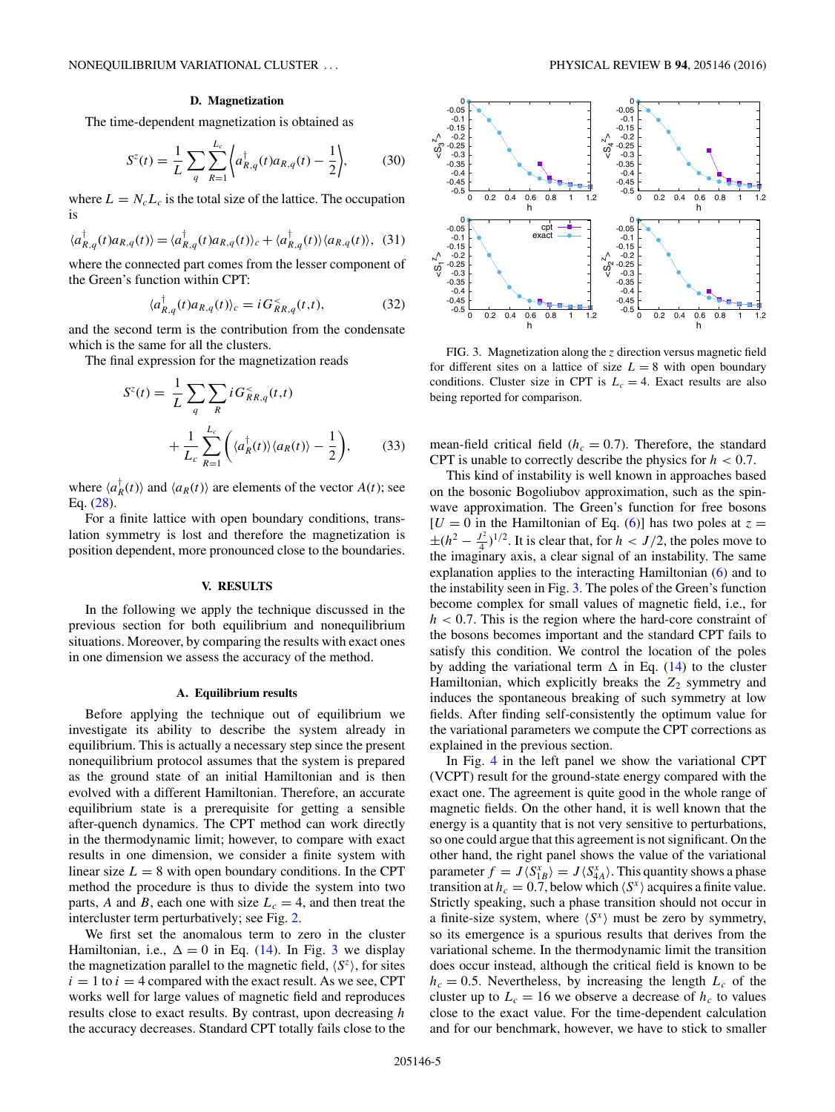### **D. Magnetization**

<span id="page-4-0"></span>The time-dependent magnetization is obtained as

$$
S^{z}(t) = \frac{1}{L} \sum_{q} \sum_{R=1}^{L_{c}} \left\langle a_{R,q}^{\dagger}(t) a_{R,q}(t) - \frac{1}{2} \right\rangle, \tag{30}
$$

where  $L = N_c L_c$  is the total size of the lattice. The occupation is

$$
\langle a_{R,q}^{\dagger}(t)a_{R,q}(t)\rangle = \langle a_{R,q}^{\dagger}(t)a_{R,q}(t)\rangle_c + \langle a_{R,q}^{\dagger}(t)\rangle \langle a_{R,q}(t)\rangle, \tag{31}
$$

where the connected part comes from the lesser component of the Green's function within CPT:

$$
\langle a_{R,q}^{\dagger}(t)a_{R,q}(t)\rangle_c = i G_{RR,q}^{\le}(t,t),\tag{32}
$$

and the second term is the contribution from the condensate which is the same for all the clusters.

The final expression for the magnetization reads

$$
S^{z}(t) = \frac{1}{L} \sum_{q} \sum_{R} i G_{RR,q}^{<}(t,t)
$$

$$
+ \frac{1}{L_{c}} \sum_{R=1}^{L_{c}} \left( \langle a_{R}^{\dagger}(t) \rangle \langle a_{R}(t) \rangle - \frac{1}{2} \right), \qquad (33)
$$

where  $\langle a_R^{\dagger}(t) \rangle$  and  $\langle a_R(t) \rangle$  are elements of the vector  $A(t)$ ; see Eq. [\(28\)](#page-3-0).

For a finite lattice with open boundary conditions, translation symmetry is lost and therefore the magnetization is position dependent, more pronounced close to the boundaries.

#### **V. RESULTS**

In the following we apply the technique discussed in the previous section for both equilibrium and nonequilibrium situations. Moreover, by comparing the results with exact ones in one dimension we assess the accuracy of the method.

### **A. Equilibrium results**

Before applying the technique out of equilibrium we investigate its ability to describe the system already in equilibrium. This is actually a necessary step since the present nonequilibrium protocol assumes that the system is prepared as the ground state of an initial Hamiltonian and is then evolved with a different Hamiltonian. Therefore, an accurate equilibrium state is a prerequisite for getting a sensible after-quench dynamics. The CPT method can work directly in the thermodynamic limit; however, to compare with exact results in one dimension, we consider a finite system with linear size  $L = 8$  with open boundary conditions. In the CPT method the procedure is thus to divide the system into two parts, *A* and *B*, each one with size  $L_c = 4$ , and then treat the intercluster term perturbatively; see Fig. [2.](#page-2-0)

We first set the anomalous term to zero in the cluster Hamiltonian, i.e.,  $\Delta = 0$  in Eq. [\(14\)](#page-2-0). In Fig. 3 we display the magnetization parallel to the magnetic field,  $\langle S^z \rangle$ , for sites  $i = 1$  to  $i = 4$  compared with the exact result. As we see, CPT works well for large values of magnetic field and reproduces results close to exact results. By contrast, upon decreasing *h* the accuracy decreases. Standard CPT totally fails close to the



FIG. 3. Magnetization along the *z* direction versus magnetic field for different sites on a lattice of size  $L = 8$  with open boundary conditions. Cluster size in CPT is  $L_c = 4$ . Exact results are also being reported for comparison.

mean-field critical field  $(h_c = 0.7)$ . Therefore, the standard CPT is unable to correctly describe the physics for *h <* 0*.*7.

This kind of instability is well known in approaches based on the bosonic Bogoliubov approximation, such as the spinwave approximation. The Green's function for free bosons  $[U = 0$  in the Hamiltonian of Eq. [\(6\)](#page-1-0)] has two poles at  $z =$  $\pm (h^2 - \frac{J^2}{4})^{1/2}$ . It is clear that, for  $h < J/2$ , the poles move to the imaginary axis, a clear signal of an instability. The same explanation applies to the interacting Hamiltonian [\(6\)](#page-1-0) and to the instability seen in Fig. 3. The poles of the Green's function become complex for small values of magnetic field, i.e., for *h <* 0*.*7. This is the region where the hard-core constraint of the bosons becomes important and the standard CPT fails to satisfy this condition. We control the location of the poles by adding the variational term  $\Delta$  in Eq. [\(14\)](#page-2-0) to the cluster Hamiltonian, which explicitly breaks the  $Z_2$  symmetry and induces the spontaneous breaking of such symmetry at low fields. After finding self-consistently the optimum value for the variational parameters we compute the CPT corrections as explained in the previous section.

In Fig. [4](#page-5-0) in the left panel we show the variational CPT (VCPT) result for the ground-state energy compared with the exact one. The agreement is quite good in the whole range of magnetic fields. On the other hand, it is well known that the energy is a quantity that is not very sensitive to perturbations, so one could argue that this agreement is not significant. On the other hand, the right panel shows the value of the variational parameter  $f = J \langle S_{1B}^x \rangle = J \langle S_{4A}^x \rangle$ . This quantity shows a phase transition at  $h_c = 0.7$ , below which  $\langle S^x \rangle$  acquires a finite value. Strictly speaking, such a phase transition should not occur in a finite-size system, where  $\langle S^x \rangle$  must be zero by symmetry, so its emergence is a spurious results that derives from the variational scheme. In the thermodynamic limit the transition does occur instead, although the critical field is known to be  $h_c = 0.5$ . Nevertheless, by increasing the length  $L_c$  of the cluster up to  $L_c = 16$  we observe a decrease of  $h_c$  to values close to the exact value. For the time-dependent calculation and for our benchmark, however, we have to stick to smaller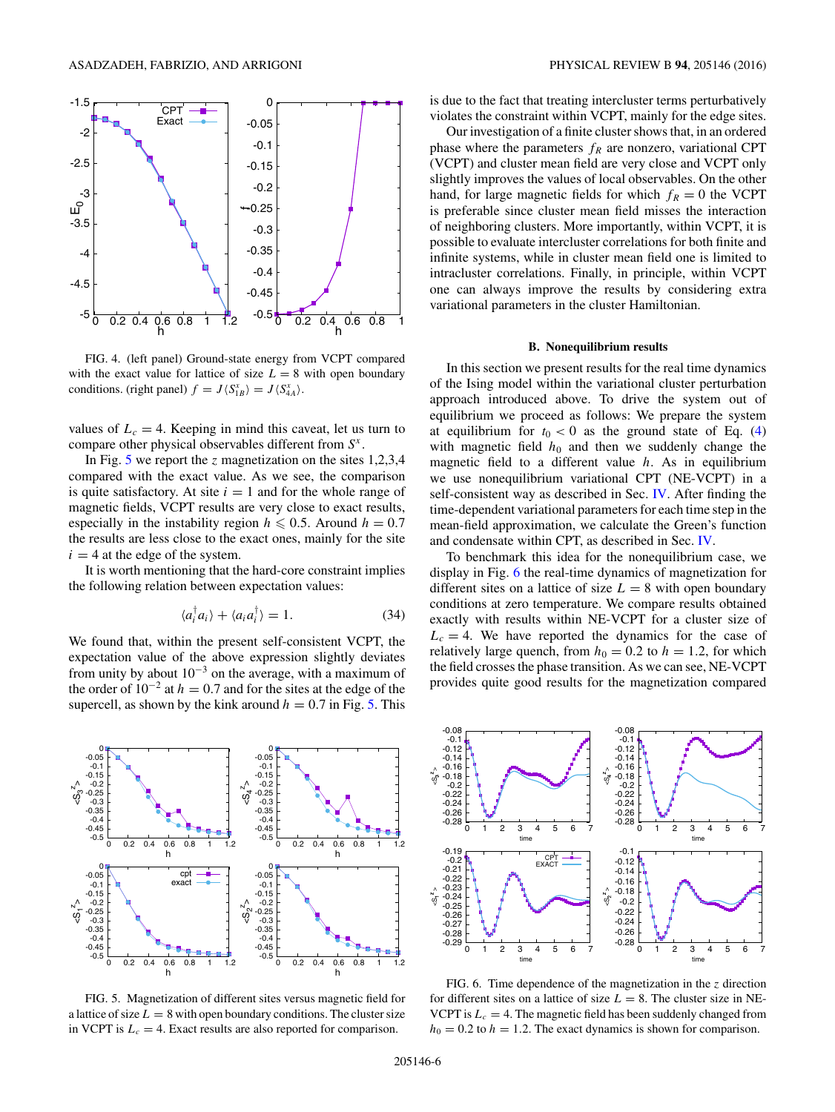<span id="page-5-0"></span>

FIG. 4. (left panel) Ground-state energy from VCPT compared with the exact value for lattice of size  $L = 8$  with open boundary conditions. (right panel)  $f = J \langle S_{1B}^x \rangle = J \langle S_{4A}^x \rangle$ .

values of  $L_c = 4$ . Keeping in mind this caveat, let us turn to compare other physical observables different from *S<sup>x</sup>* .

In Fig. 5 we report the *z* magnetization on the sites 1,2,3,4 compared with the exact value. As we see, the comparison is quite satisfactory. At site  $i = 1$  and for the whole range of magnetic fields, VCPT results are very close to exact results, especially in the instability region  $h \leq 0.5$ . Around  $h = 0.7$ the results are less close to the exact ones, mainly for the site  $i = 4$  at the edge of the system.

It is worth mentioning that the hard-core constraint implies the following relation between expectation values:

$$
\langle a_i^{\dagger} a_i \rangle + \langle a_i a_i^{\dagger} \rangle = 1. \tag{34}
$$

We found that, within the present self-consistent VCPT, the expectation value of the above expression slightly deviates from unity by about  $10^{-3}$  on the average, with a maximum of the order of  $10^{-2}$  at  $h = 0.7$  and for the sites at the edge of the supercell, as shown by the kink around  $h = 0.7$  in Fig. 5. This



FIG. 5. Magnetization of different sites versus magnetic field for a lattice of size  $L = 8$  with open boundary conditions. The cluster size in VCPT is  $L_c = 4$ . Exact results are also reported for comparison.

is due to the fact that treating intercluster terms perturbatively violates the constraint within VCPT, mainly for the edge sites.

Our investigation of a finite cluster shows that, in an ordered phase where the parameters  $f_R$  are nonzero, variational CPT (VCPT) and cluster mean field are very close and VCPT only slightly improves the values of local observables. On the other hand, for large magnetic fields for which  $f_R = 0$  the VCPT is preferable since cluster mean field misses the interaction of neighboring clusters. More importantly, within VCPT, it is possible to evaluate intercluster correlations for both finite and infinite systems, while in cluster mean field one is limited to intracluster correlations. Finally, in principle, within VCPT one can always improve the results by considering extra variational parameters in the cluster Hamiltonian.

#### **B. Nonequilibrium results**

In this section we present results for the real time dynamics of the Ising model within the variational cluster perturbation approach introduced above. To drive the system out of equilibrium we proceed as follows: We prepare the system at equilibrium for  $t_0 < 0$  as the ground state of Eq. [\(4\)](#page-1-0) with magnetic field  $h_0$  and then we suddenly change the magnetic field to a different value *h*. As in equilibrium we use nonequilibrium variational CPT (NE-VCPT) in a self-consistent way as described in Sec. [IV.](#page-1-0) After finding the time-dependent variational parameters for each time step in the mean-field approximation, we calculate the Green's function and condensate within CPT, as described in Sec. [IV.](#page-1-0)

To benchmark this idea for the nonequilibrium case, we display in Fig. 6 the real-time dynamics of magnetization for different sites on a lattice of size  $L = 8$  with open boundary conditions at zero temperature. We compare results obtained exactly with results within NE-VCPT for a cluster size of  $L_c = 4$ . We have reported the dynamics for the case of relatively large quench, from  $h_0 = 0.2$  to  $h = 1.2$ , for which the field crosses the phase transition. As we can see, NE-VCPT provides quite good results for the magnetization compared



FIG. 6. Time dependence of the magnetization in the *z* direction for different sites on a lattice of size  $L = 8$ . The cluster size in NE-VCPT is  $L_c = 4$ . The magnetic field has been suddenly changed from  $h_0 = 0.2$  to  $h = 1.2$ . The exact dynamics is shown for comparison.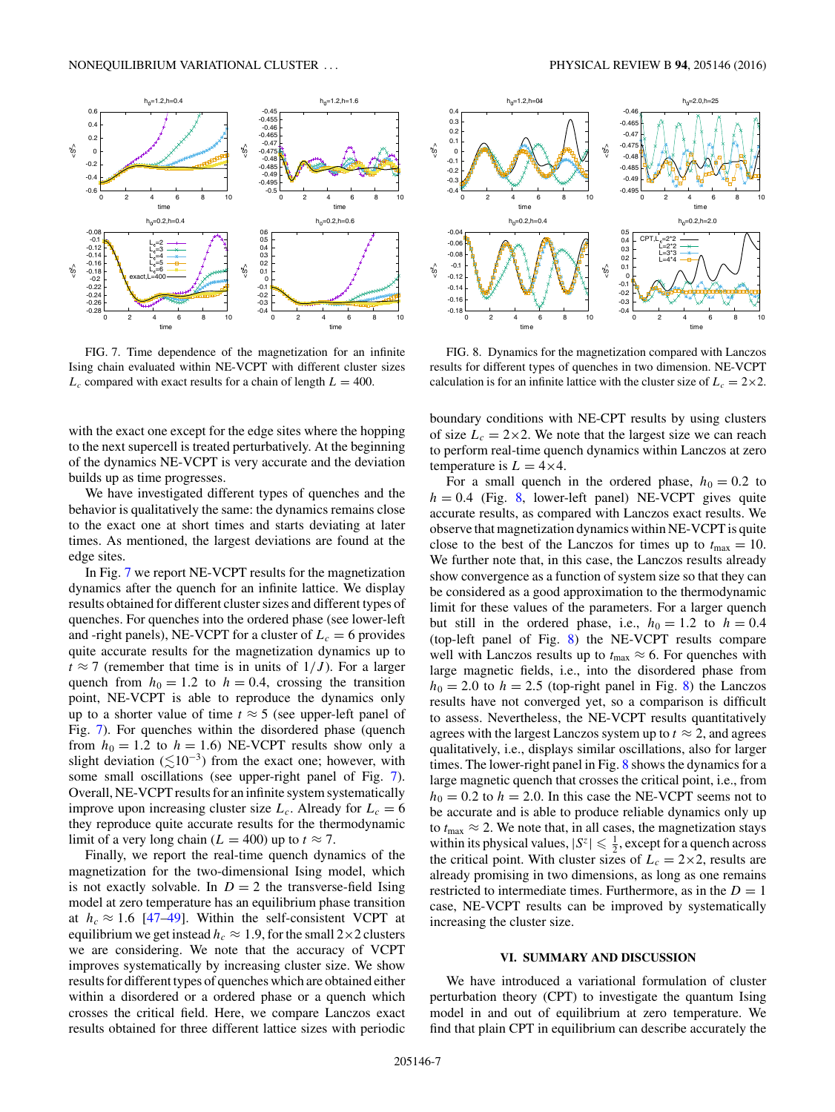<span id="page-6-0"></span>

FIG. 7. Time dependence of the magnetization for an infinite Ising chain evaluated within NE-VCPT with different cluster sizes  $L_c$  compared with exact results for a chain of length  $L = 400$ .

with the exact one except for the edge sites where the hopping to the next supercell is treated perturbatively. At the beginning of the dynamics NE-VCPT is very accurate and the deviation builds up as time progresses.

We have investigated different types of quenches and the behavior is qualitatively the same: the dynamics remains close to the exact one at short times and starts deviating at later times. As mentioned, the largest deviations are found at the edge sites.

In Fig. 7 we report NE-VCPT results for the magnetization dynamics after the quench for an infinite lattice. We display results obtained for different cluster sizes and different types of quenches. For quenches into the ordered phase (see lower-left and -right panels), NE-VCPT for a cluster of  $L_c = 6$  provides quite accurate results for the magnetization dynamics up to  $t \approx 7$  (remember that time is in units of  $1/J$ ). For a larger quench from  $h_0 = 1.2$  to  $h = 0.4$ , crossing the transition point, NE-VCPT is able to reproduce the dynamics only up to a shorter value of time  $t \approx 5$  (see upper-left panel of Fig. 7). For quenches within the disordered phase (quench from  $h_0 = 1.2$  to  $h = 1.6$ ) NE-VCPT results show only a slight deviation  $(\leq 10^{-3})$  from the exact one; however, with some small oscillations (see upper-right panel of Fig. 7). Overall, NE-VCPT results for an infinite system systematically improve upon increasing cluster size  $L_c$ . Already for  $L_c = 6$ they reproduce quite accurate results for the thermodynamic limit of a very long chain ( $L = 400$ ) up to  $t \approx 7$ .

Finally, we report the real-time quench dynamics of the magnetization for the two-dimensional Ising model, which is not exactly solvable. In  $D = 2$  the transverse-field Ising model at zero temperature has an equilibrium phase transition at  $h_c \approx 1.6$  [\[47–49\]](#page-10-0). Within the self-consistent VCPT at equilibrium we get instead  $h_c \approx 1.9$ , for the small  $2 \times 2$  clusters we are considering. We note that the accuracy of VCPT improves systematically by increasing cluster size. We show results for different types of quenches which are obtained either within a disordered or a ordered phase or a quench which crosses the critical field. Here, we compare Lanczos exact results obtained for three different lattice sizes with periodic



FIG. 8. Dynamics for the magnetization compared with Lanczos results for different types of quenches in two dimension. NE-VCPT calculation is for an infinite lattice with the cluster size of  $L_c = 2 \times 2$ .

boundary conditions with NE-CPT results by using clusters of size  $L_c = 2 \times 2$ . We note that the largest size we can reach to perform real-time quench dynamics within Lanczos at zero temperature is  $L = 4 \times 4$ .

For a small quench in the ordered phase,  $h_0 = 0.2$  to  $h = 0.4$  (Fig. 8, lower-left panel) NE-VCPT gives quite accurate results, as compared with Lanczos exact results. We observe that magnetization dynamics within NE-VCPT is quite close to the best of the Lanczos for times up to  $t_{\text{max}} = 10$ . We further note that, in this case, the Lanczos results already show convergence as a function of system size so that they can be considered as a good approximation to the thermodynamic limit for these values of the parameters. For a larger quench but still in the ordered phase, i.e.,  $h_0 = 1.2$  to  $h = 0.4$ (top-left panel of Fig. 8) the NE-VCPT results compare well with Lanczos results up to  $t_{\text{max}} \approx 6$ . For quenches with large magnetic fields, i.e., into the disordered phase from  $h_0 = 2.0$  to  $h = 2.5$  (top-right panel in Fig. 8) the Lanczos results have not converged yet, so a comparison is difficult to assess. Nevertheless, the NE-VCPT results quantitatively agrees with the largest Lanczos system up to  $t \approx 2$ , and agrees qualitatively, i.e., displays similar oscillations, also for larger times. The lower-right panel in Fig. 8 shows the dynamics for a large magnetic quench that crosses the critical point, i.e., from  $h_0 = 0.2$  to  $h = 2.0$ . In this case the NE-VCPT seems not to be accurate and is able to produce reliable dynamics only up to  $t_{\text{max}} \approx 2$ . We note that, in all cases, the magnetization stays within its physical values,  $|S^z| \leq \frac{1}{2}$ , except for a quench across the critical point. With cluster sizes of  $L_c = 2 \times 2$ , results are already promising in two dimensions, as long as one remains restricted to intermediate times. Furthermore, as in the  $D = 1$ case, NE-VCPT results can be improved by systematically increasing the cluster size.

### **VI. SUMMARY AND DISCUSSION**

We have introduced a variational formulation of cluster perturbation theory (CPT) to investigate the quantum Ising model in and out of equilibrium at zero temperature. We find that plain CPT in equilibrium can describe accurately the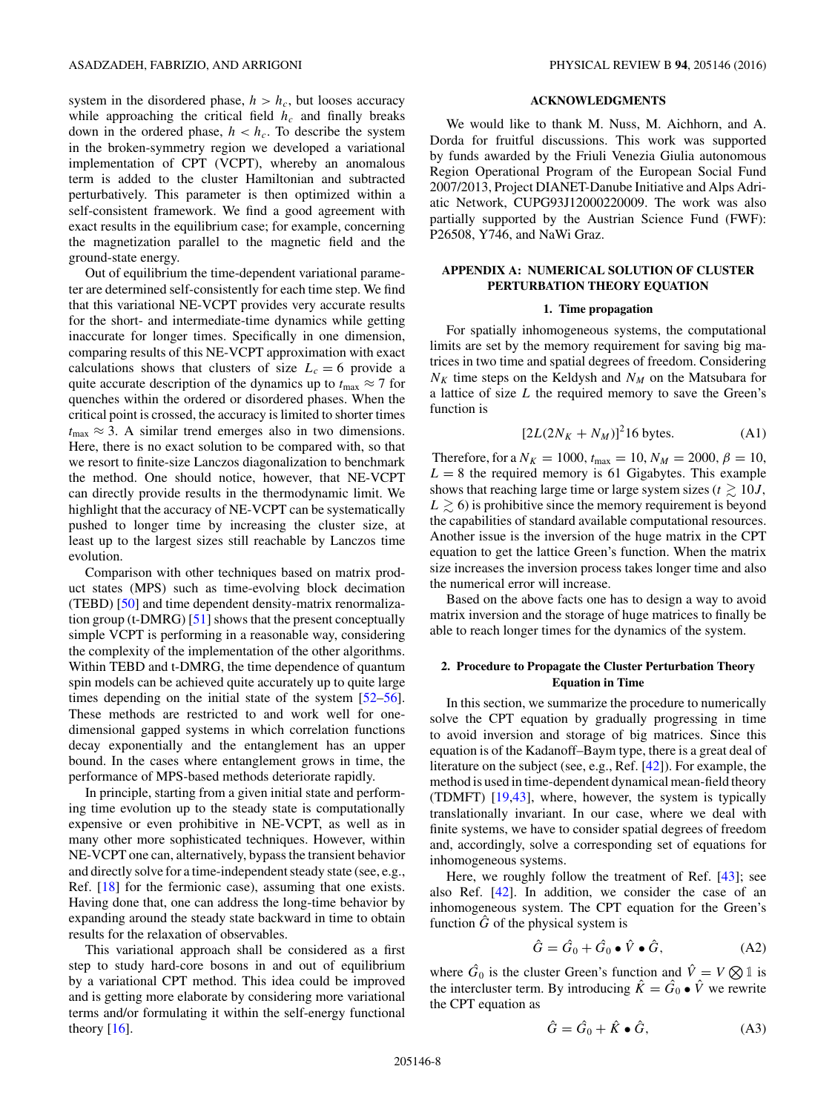<span id="page-7-0"></span>system in the disordered phase,  $h > h_c$ , but looses accuracy while approaching the critical field  $h_c$  and finally breaks down in the ordered phase,  $h < h_c$ . To describe the system in the broken-symmetry region we developed a variational implementation of CPT (VCPT), whereby an anomalous term is added to the cluster Hamiltonian and subtracted perturbatively. This parameter is then optimized within a self-consistent framework. We find a good agreement with exact results in the equilibrium case; for example, concerning the magnetization parallel to the magnetic field and the ground-state energy.

Out of equilibrium the time-dependent variational parameter are determined self-consistently for each time step. We find that this variational NE-VCPT provides very accurate results for the short- and intermediate-time dynamics while getting inaccurate for longer times. Specifically in one dimension, comparing results of this NE-VCPT approximation with exact calculations shows that clusters of size  $L_c = 6$  provide a quite accurate description of the dynamics up to  $t_{\text{max}} \approx 7$  for quenches within the ordered or disordered phases. When the critical point is crossed, the accuracy is limited to shorter times  $t_{\text{max}} \approx 3$ . A similar trend emerges also in two dimensions. Here, there is no exact solution to be compared with, so that we resort to finite-size Lanczos diagonalization to benchmark the method. One should notice, however, that NE-VCPT can directly provide results in the thermodynamic limit. We highlight that the accuracy of NE-VCPT can be systematically pushed to longer time by increasing the cluster size, at least up to the largest sizes still reachable by Lanczos time evolution.

Comparison with other techniques based on matrix product states (MPS) such as time-evolving block decimation (TEBD) [\[50\]](#page-10-0) and time dependent density-matrix renormalization group (t-DMRG) [\[51\]](#page-10-0) shows that the present conceptually simple VCPT is performing in a reasonable way, considering the complexity of the implementation of the other algorithms. Within TEBD and t-DMRG, the time dependence of quantum spin models can be achieved quite accurately up to quite large times depending on the initial state of the system [\[52–56\]](#page-10-0). These methods are restricted to and work well for onedimensional gapped systems in which correlation functions decay exponentially and the entanglement has an upper bound. In the cases where entanglement grows in time, the performance of MPS-based methods deteriorate rapidly.

In principle, starting from a given initial state and performing time evolution up to the steady state is computationally expensive or even prohibitive in NE-VCPT, as well as in many other more sophisticated techniques. However, within NE-VCPT one can, alternatively, bypass the transient behavior and directly solve for a time-independent steady state (see, e.g., Ref. [\[18\]](#page-10-0) for the fermionic case), assuming that one exists. Having done that, one can address the long-time behavior by expanding around the steady state backward in time to obtain results for the relaxation of observables.

This variational approach shall be considered as a first step to study hard-core bosons in and out of equilibrium by a variational CPT method. This idea could be improved and is getting more elaborate by considering more variational terms and/or formulating it within the self-energy functional theory  $[16]$ .

### **ACKNOWLEDGMENTS**

We would like to thank M. Nuss, M. Aichhorn, and A. Dorda for fruitful discussions. This work was supported by funds awarded by the Friuli Venezia Giulia autonomous Region Operational Program of the European Social Fund 2007/2013, Project DIANET-Danube Initiative and Alps Adriatic Network, CUPG93J12000220009. The work was also partially supported by the Austrian Science Fund (FWF): P26508, Y746, and NaWi Graz.

## **APPENDIX A: NUMERICAL SOLUTION OF CLUSTER PERTURBATION THEORY EQUATION**

#### **1. Time propagation**

For spatially inhomogeneous systems, the computational limits are set by the memory requirement for saving big matrices in two time and spatial degrees of freedom. Considering  $N_K$  time steps on the Keldysh and  $N_M$  on the Matsubara for a lattice of size *L* the required memory to save the Green's function is

$$
[2L(2N_K + N_M)]^2 16 \text{ bytes.} \tag{A1}
$$

Therefore, for a  $N_K = 1000$ ,  $t_{\text{max}} = 10$ ,  $N_M = 2000$ ,  $\beta = 10$ ,  $L = 8$  the required memory is 61 Gigabytes. This example shows that reaching large time or large system sizes ( $t \geq 10J$ ,  $L \geq 6$ ) is prohibitive since the memory requirement is beyond the capabilities of standard available computational resources. Another issue is the inversion of the huge matrix in the CPT equation to get the lattice Green's function. When the matrix size increases the inversion process takes longer time and also the numerical error will increase.

Based on the above facts one has to design a way to avoid matrix inversion and the storage of huge matrices to finally be able to reach longer times for the dynamics of the system.

### **2. Procedure to Propagate the Cluster Perturbation Theory Equation in Time**

In this section, we summarize the procedure to numerically solve the CPT equation by gradually progressing in time to avoid inversion and storage of big matrices. Since this equation is of the Kadanoff–Baym type, there is a great deal of literature on the subject (see, e.g., Ref. [\[42\]](#page-10-0)). For example, the method is used in time-dependent dynamical mean-field theory (TDMFT) [\[19,43\]](#page-10-0), where, however, the system is typically translationally invariant. In our case, where we deal with finite systems, we have to consider spatial degrees of freedom and, accordingly, solve a corresponding set of equations for inhomogeneous systems.

Here, we roughly follow the treatment of Ref. [\[43\]](#page-10-0); see also Ref. [\[42\]](#page-10-0). In addition, we consider the case of an inhomogeneous system. The CPT equation for the Green's function  $\hat{G}$  of the physical system is

$$
\hat{G} = \hat{G}_0 + \hat{G}_0 \bullet \hat{V} \bullet \hat{G}, \qquad (A2)
$$

where  $\hat{G}_0$  is the cluster Green's function and  $\hat{V} = V \otimes \mathbb{1}$  is the intercluster term. By introducing  $\hat{K} = \hat{G}_0 \bullet \hat{V}$  we rewrite the CPT equation as

$$
\hat{G} = \hat{G}_0 + \hat{K} \bullet \hat{G}, \tag{A3}
$$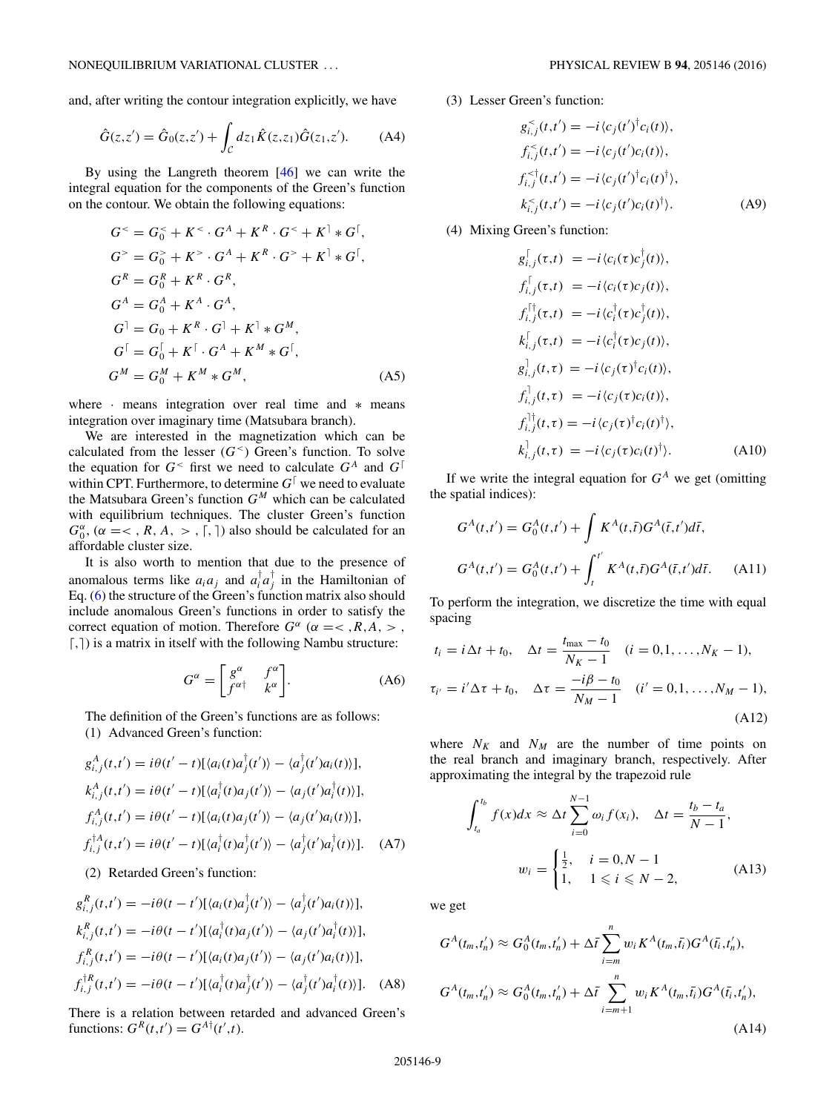and, after writing the contour integration explicitly, we have

$$
\hat{G}(z, z') = \hat{G}_0(z, z') + \int_{\mathcal{C}} dz_1 \hat{K}(z, z_1) \hat{G}(z_1, z').
$$
 (A4)

By using the Langreth theorem [\[46\]](#page-10-0) we can write the integral equation for the components of the Green's function on the contour. We obtain the following equations:

$$
G^{<} = G_{0}^{<} + K^{<} \cdot G^{A} + K^{R} \cdot G^{<} + K^{T} * G^{T},
$$
  
\n
$$
G^{>} = G_{0}^{>} + K^{>} \cdot G^{A} + K^{R} \cdot G^{>} + K^{T} * G^{T},
$$
  
\n
$$
G^{R} = G_{0}^{R} + K^{R} \cdot G^{R},
$$
  
\n
$$
G^{A} = G_{0}^{A} + K^{A} \cdot G^{A},
$$
  
\n
$$
G^{T} = G_{0}^{T} + K^{T} \cdot G^{T} + K^{T} * G^{M},
$$
  
\n
$$
G^{T} = G_{0}^{T} + K^{T} \cdot G^{A} + K^{M} * G^{T},
$$
  
\n
$$
G^{M} = G_{0}^{M} + K^{M} * G^{M},
$$
  
\n(A5)

where · means integration over real time and ∗ means integration over imaginary time (Matsubara branch).

We are interested in the magnetization which can be calculated from the lesser  $(G<sup>{\leq}</sup>$ ) Green's function. To solve the equation for  $G^{\lt}$  first we need to calculate  $G^A$  and  $G^{\dagger}$ within CPT. Furthermore, to determine  $G^{\dagger}$  we need to evaluate the Matsubara Green's function *GM* which can be calculated with equilibrium techniques. The cluster Green's function  $G_0^{\alpha}$ , ( $\alpha = <, R, A, >, \lceil, \rceil$ ) also should be calculated for an affordable cluster size.

It is also worth to mention that due to the presence of anomalous terms like  $a_i a_j$  and  $a_i^{\dagger} a_j^{\dagger}$  in the Hamiltonian of Eq. [\(6\)](#page-1-0) the structure of the Green's function matrix also should include anomalous Green's functions in order to satisfy the correct equation of motion. Therefore  $G^{\alpha}$  ( $\alpha = \langle R, A, \rangle$ , *,*) is a matrix in itself with the following Nambu structure:

$$
G^{\alpha} = \begin{bmatrix} g^{\alpha} & f^{\alpha} \\ f^{\alpha \dagger} & k^{\alpha} \end{bmatrix} . \tag{A6}
$$

The definition of the Green's functions are as follows: (1) Advanced Green's function:

$$
g_{i,j}^A(t,t') = i\theta(t'-t)[\langle a_i(t)a_j^\dagger(t')\rangle - \langle a_j^\dagger(t')a_i(t)\rangle],
$$
  
\n
$$
k_{i,j}^A(t,t') = i\theta(t'-t)[\langle a_i^\dagger(t)a_j(t')\rangle - \langle a_j(t')a_i^\dagger(t)\rangle],
$$
  
\n
$$
f_{i,j}^A(t,t') = i\theta(t'-t)[\langle a_i(t)a_j(t')\rangle - \langle a_j(t')a_i(t)\rangle],
$$
  
\n
$$
f_{i,j}^{\dagger A}(t,t') = i\theta(t'-t)[\langle a_i^\dagger(t)a_j^\dagger(t')\rangle - \langle a_j^\dagger(t')a_i^\dagger(t)\rangle].
$$
 (A7)

(2) Retarded Green's function:

$$
g_{i,j}^R(t,t') = -i\theta(t-t')[\langle a_i(t)a_j^{\dagger}(t')\rangle - \langle a_j^{\dagger}(t')a_i(t)\rangle],
$$
  
\n
$$
k_{i,j}^R(t,t') = -i\theta(t-t')[\langle a_i^{\dagger}(t)a_j(t')\rangle - \langle a_j(t')a_i^{\dagger}(t)\rangle],
$$
  
\n
$$
f_{i,j}^R(t,t') = -i\theta(t-t')[\langle a_i(t)a_j(t')\rangle - \langle a_j(t')a_i(t)\rangle],
$$
  
\n
$$
f_{i,j}^{\dagger R}(t,t') = -i\theta(t-t')[\langle a_i^{\dagger}(t)a_j^{\dagger}(t')\rangle - \langle a_j^{\dagger}(t')a_i^{\dagger}(t)\rangle].
$$
 (A8)

There is a relation between retarded and advanced Green's functions:  $G<sup>R</sup>(t,t') = G<sup>A</sup><sup>\dagger</sup>(t',t)$ .

(3) Lesser Green's function:

$$
g_{i,j}^{<}(t,t') = -i \langle c_j(t')^{\dagger} c_i(t) \rangle,
$$
  
\n
$$
f_{i,j}^{<}(t,t') = -i \langle c_j(t') c_i(t) \rangle,
$$
  
\n
$$
f_{i,j}^{<\dagger}(t,t') = -i \langle c_j(t')^{\dagger} c_i(t)^{\dagger} \rangle,
$$
  
\n
$$
k_{i,j}^{<}(t,t') = -i \langle c_j(t') c_i(t)^{\dagger} \rangle.
$$
 (A9)

(4) Mixing Green's function:

$$
g_{i,j}^{\dagger}(\tau,t) = -i \langle c_i(\tau)c_j^{\dagger}(t) \rangle,
$$
  
\n
$$
f_{i,j}^{\dagger}(\tau,t) = -i \langle c_i(\tau)c_j(t) \rangle,
$$
  
\n
$$
f_{i,j}^{\dagger\dagger}(\tau,t) = -i \langle c_i^{\dagger}(\tau)c_j^{\dagger}(t) \rangle,
$$
  
\n
$$
k_{i,j}^{\dagger}(\tau,t) = -i \langle c_i^{\dagger}(\tau)c_j(t) \rangle,
$$
  
\n
$$
g_{i,j}^{\dagger}(t,\tau) = -i \langle c_j(\tau)^{\dagger}c_i(t) \rangle,
$$
  
\n
$$
f_{i,j}^{\dagger\dagger}(t,\tau) = -i \langle c_j(\tau)c_i(t) \rangle,
$$
  
\n
$$
f_{i,j}^{\dagger\dagger}(t,\tau) = -i \langle c_j(\tau)^{\dagger}c_i(t)^{\dagger} \rangle,
$$
  
\n
$$
k_{i,j}^{\dagger}(t,\tau) = -i \langle c_j(\tau)c_i(t)^{\dagger} \rangle.
$$
 (A10)

If we write the integral equation for  $G^A$  we get (omitting the spatial indices):

$$
G^{A}(t,t') = G_{0}^{A}(t,t') + \int K^{A}(t,\bar{t})G^{A}(\bar{t},t')d\bar{t},
$$
  

$$
G^{A}(t,t') = G_{0}^{A}(t,t') + \int_{t}^{t'} K^{A}(t,\bar{t})G^{A}(\bar{t},t')d\bar{t}.
$$
 (A11)

To perform the integration, we discretize the time with equal spacing

$$
t_i = i\Delta t + t_0, \quad \Delta t = \frac{t_{\text{max}} - t_0}{N_K - 1} \quad (i = 0, 1, ..., N_K - 1),
$$
  

$$
\tau_{i'} = i'\Delta \tau + t_0, \quad \Delta \tau = \frac{-i\beta - t_0}{N_M - 1} \quad (i' = 0, 1, ..., N_M - 1),
$$
  
(A12)

where  $N_K$  and  $N_M$  are the number of time points on the real branch and imaginary branch, respectively. After approximating the integral by the trapezoid rule

$$
\int_{t_a}^{t_b} f(x)dx \approx \Delta t \sum_{i=0}^{N-1} \omega_i f(x_i), \quad \Delta t = \frac{t_b - t_a}{N - 1},
$$

$$
w_i = \begin{cases} \frac{1}{2}, & i = 0, N - 1 \\ 1, & 1 \leq i \leq N - 2, \end{cases}
$$
(A13)

we get

$$
G^{A}(t_{m},t'_{n}) \approx G^{A}_{0}(t_{m},t'_{n}) + \Delta \bar{t} \sum_{i=m}^{n} w_{i} K^{A}(t_{m},\bar{t_{i}}) G^{A}(\bar{t_{i}},t'_{n}),
$$
  
\n
$$
G^{A}(t_{m},t'_{n}) \approx G^{A}_{0}(t_{m},t'_{n}) + \Delta \bar{t} \sum_{i=m+1}^{n} w_{i} K^{A}(t_{m},\bar{t_{i}}) G^{A}(\bar{t_{i}},t'_{n}),
$$
\n(A14)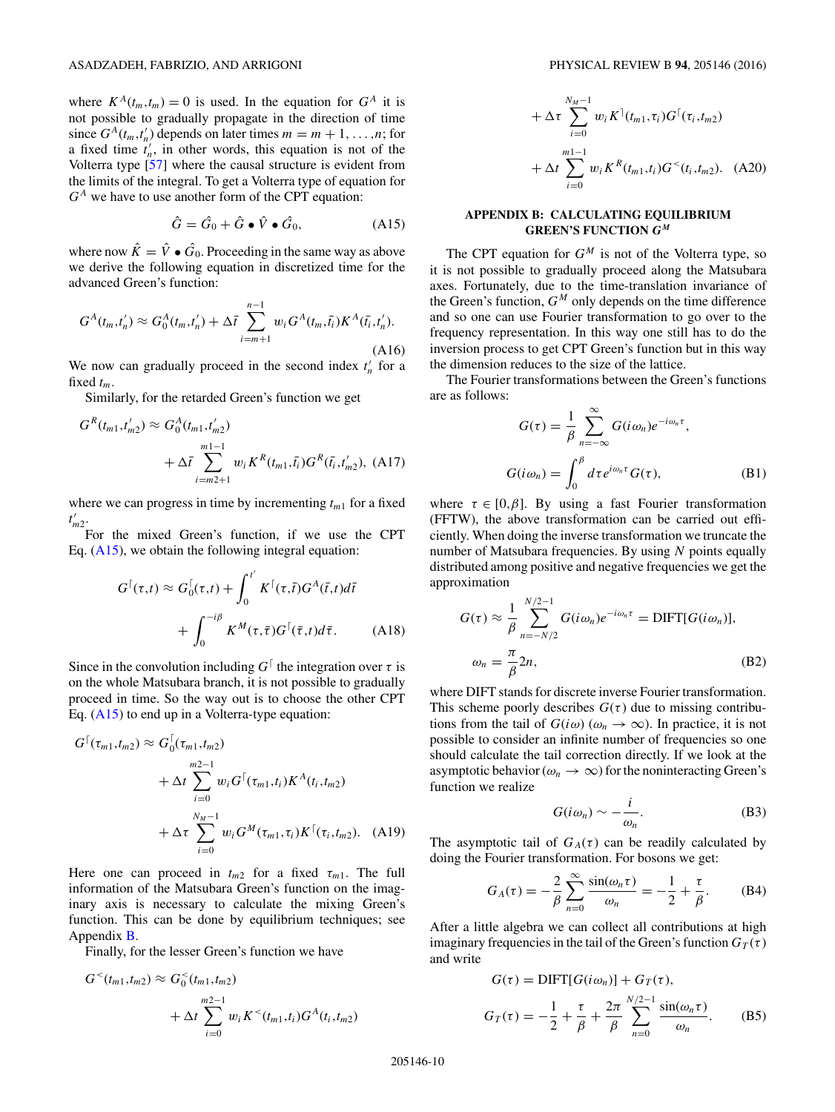where  $K^A(t_m,t_m) = 0$  is used. In the equation for  $G^A$  it is not possible to gradually propagate in the direction of time since  $G^A(t_m, t'_n)$  depends on later times  $m = m + 1, \ldots, n$ ; for a fixed time  $\hat{t}_n^{\prime}$ , in other words, this equation is not of the Volterra type [\[57\]](#page-10-0) where the causal structure is evident from the limits of the integral. To get a Volterra type of equation for  $G<sup>A</sup>$  we have to use another form of the CPT equation:

$$
\hat{G} = \hat{G}_0 + \hat{G} \bullet \hat{V} \bullet \hat{G}_0, \tag{A15}
$$

where now  $\hat{K} = \hat{V} \bullet \hat{G}_0$ . Proceeding in the same way as above we derive the following equation in discretized time for the advanced Green's function:

$$
G^{A}(t_{m},t'_{n}) \approx G^{A}_{0}(t_{m},t'_{n}) + \Delta \bar{t} \sum_{i=m+1}^{n-1} w_{i} G^{A}(t_{m},\bar{t}_{i}) K^{A}(\bar{t}_{i},t'_{n}).
$$
\n(A16)

We now can gradually proceed in the second index  $t'_n$  for a fixed  $t_m$ .

Similarly, for the retarded Green's function we get

$$
G^{R}(t_{m1}, t'_{m2}) \approx G_{0}^{A}(t_{m1}, t'_{m2}) + \Delta \bar{t} \sum_{i=m2+1}^{m1-1} w_{i} K^{R}(t_{m1}, \bar{t}_{i}) G^{R}(\bar{t}_{i}, t'_{m2}), \quad (A17)
$$

where we can progress in time by incrementing  $t_{m1}$  for a fixed *t*- *m*2.

For the mixed Green's function, if we use the CPT Eq.  $(A15)$ , we obtain the following integral equation:

$$
G^{\lceil}(\tau,t) \approx G_0^{\lceil}(\tau,t) + \int_0^{t'} K^{\lceil}(\tau,\bar{t}) G^A(\bar{t},t) d\bar{t}
$$

$$
+ \int_0^{-i\beta} K^M(\tau,\bar{\tau}) G^{\lceil}(\bar{\tau},t) d\bar{\tau}. \tag{A18}
$$

Since in the convolution including  $G^{\dagger}$  the integration over  $\tau$  is on the whole Matsubara branch, it is not possible to gradually proceed in time. So the way out is to choose the other CPT Eq. (A15) to end up in a Volterra-type equation:

$$
G^{\lceil}(\tau_{m1}, t_{m2}) \approx G^{\lceil}(\tau_{m1}, t_{m2})
$$
  
 
$$
+ \Delta t \sum_{i=0}^{m2-1} w_i G^{\lceil}(\tau_{m1}, t_i) K^A(t_i, t_{m2})
$$
  
 
$$
+ \Delta \tau \sum_{i=0}^{N_M-1} w_i G^M(\tau_{m1}, \tau_i) K^{\lceil}(\tau_i, t_{m2}). \quad (A19)
$$

Here one can proceed in  $t_{m2}$  for a fixed  $\tau_{m1}$ . The full information of the Matsubara Green's function on the imaginary axis is necessary to calculate the mixing Green's function. This can be done by equilibrium techniques; see Appendix [B.](#page-7-0)

Finally, for the lesser Green's function we have

$$
G^{<}(t_{m1}, t_{m2}) \approx G_0^{<}(t_{m1}, t_{m2})
$$
  
 
$$
+ \Delta t \sum_{i=0}^{m2-1} w_i K^{<}(t_{m1}, t_i) G^A(t_i, t_{m2})
$$

$$
+\Delta \tau \sum_{i=0}^{N_M-1} w_i K^{\dagger}(t_{m1}, \tau_i) G^{\dagger}(\tau_i, t_{m2})
$$
  
+ 
$$
\Delta t \sum_{i=0}^{m1-1} w_i K^R(t_{m1}, t_i) G^<(t_i, t_{m2}).
$$
 (A20)

## **APPENDIX B: CALCULATING EQUILIBRIUM GREEN'S FUNCTION** *G <sup>M</sup>*

The CPT equation for  $G^M$  is not of the Volterra type, so it is not possible to gradually proceed along the Matsubara axes. Fortunately, due to the time-translation invariance of the Green's function,  $G^M$  only depends on the time difference and so one can use Fourier transformation to go over to the frequency representation. In this way one still has to do the inversion process to get CPT Green's function but in this way the dimension reduces to the size of the lattice.

The Fourier transformations between the Green's functions are as follows:

$$
G(\tau) = \frac{1}{\beta} \sum_{n=-\infty}^{\infty} G(i\omega_n) e^{-i\omega_n \tau},
$$
  

$$
G(i\omega_n) = \int_0^{\beta} d\tau e^{i\omega_n \tau} G(\tau),
$$
 (B1)

where  $\tau \in [0,\beta]$ . By using a fast Fourier transformation (FFTW), the above transformation can be carried out efficiently. When doing the inverse transformation we truncate the number of Matsubara frequencies. By using *N* points equally distributed among positive and negative frequencies we get the approximation

$$
G(\tau) \approx \frac{1}{\beta} \sum_{n=-N/2}^{N/2-1} G(i\omega_n) e^{-i\omega_n \tau} = \text{DIFT}[G(i\omega_n)],
$$
  

$$
\omega_n = \frac{\pi}{\beta} 2n,
$$
 (B2)

where DIFT stands for discrete inverse Fourier transformation. This scheme poorly describes  $G(\tau)$  due to missing contributions from the tail of  $G(i\omega)$  ( $\omega_n \to \infty$ ). In practice, it is not possible to consider an infinite number of frequencies so one should calculate the tail correction directly. If we look at the asymptotic behavior ( $\omega_n \to \infty$ ) for the noninteracting Green's function we realize

$$
G(i\omega_n) \sim -\frac{i}{\omega_n}.
$$
 (B3)

The asymptotic tail of  $G_A(\tau)$  can be readily calculated by doing the Fourier transformation. For bosons we get:

$$
G_A(\tau) = -\frac{2}{\beta} \sum_{n=0}^{\infty} \frac{\sin(\omega_n \tau)}{\omega_n} = -\frac{1}{2} + \frac{\tau}{\beta}.
$$
 (B4)

After a little algebra we can collect all contributions at high imaginary frequencies in the tail of the Green's function  $G_T(\tau)$ and write

$$
G(\tau) = \text{DIFF}[G(i\omega_n)] + G_T(\tau),
$$
  
\n
$$
G_T(\tau) = -\frac{1}{2} + \frac{\tau}{\beta} + \frac{2\pi}{\beta} \sum_{n=0}^{N/2-1} \frac{\sin(\omega_n \tau)}{\omega_n}.
$$
 (B5)